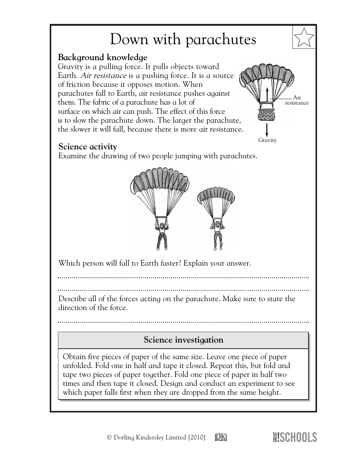## Down with parachutes

## **Background knowledge**

Gravity is a pulling force. It pulls objects toward Earth. *Air resistance* is a pushing force. It is a source of friction because it opposes motion. When parachutes fall to Earth, air resistance pushes against them. The fabric of a parachute has a lot of surface on which air can push. The effect of this force is to slow the parachute down. The larger the parachute, the slower it will fall, because there is more air resistance.

## **Science activity**

Examine the drawing of two people jumping with parachutes.



Which person will fall to Earth faster? Explain your answer.

Describe all of the forces acting on the parachute. Make sure to state the direction of the force.

## **Science investigation**

Obtain five pieces of paper of the same size. Leave one piece of paper unfolded. Fold one in half and tape it closed. Repeat this, but fold and tape two pieces of paper together. Fold one piece of paper in half two times and then tape it closed. Design and conduct an experiment to see which paper falls first when they are dropped from the same height.



✩

Air resistance

Gravity